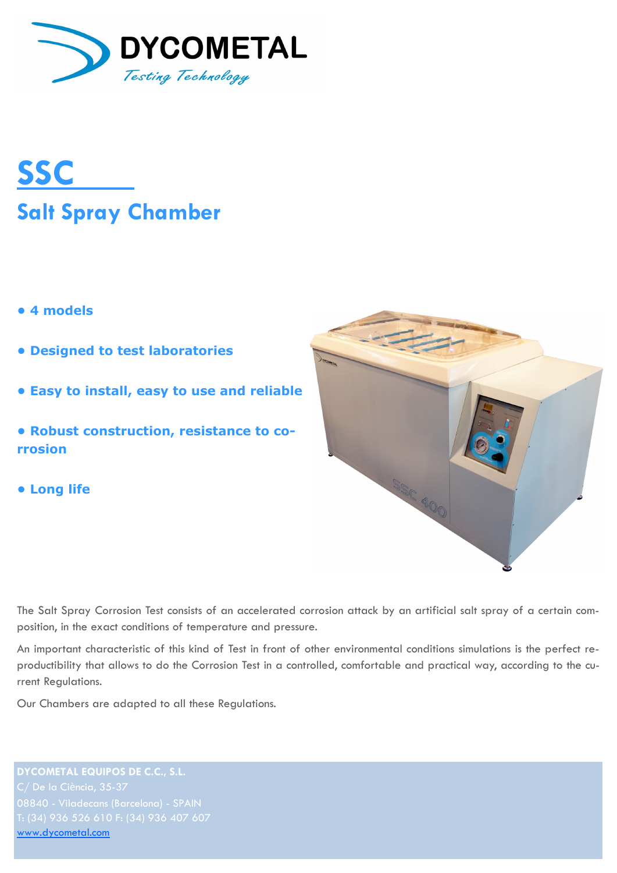



- **4 models**
- **Designed to test laboratories**
- **Easy to install, easy to use and reliable**
- **Robust construction, resistance to corrosion**
- **Long life**



The Salt Spray Corrosion Test consists of an accelerated corrosion attack by an artificial salt spray of a certain composition, in the exact conditions of temperature and pressure.

An important characteristic of this kind of Test in front of other environmental conditions simulations is the perfect reproductibility that allows to do the Corrosion Test in a controlled, comfortable and practical way, according to the current Regulations.

Our Chambers are adapted to all these Regulations.

**DYCOMETAL EQUIPOS DE C.C., S.L.** [www.dycometal.com](http://www.dycometal.com/)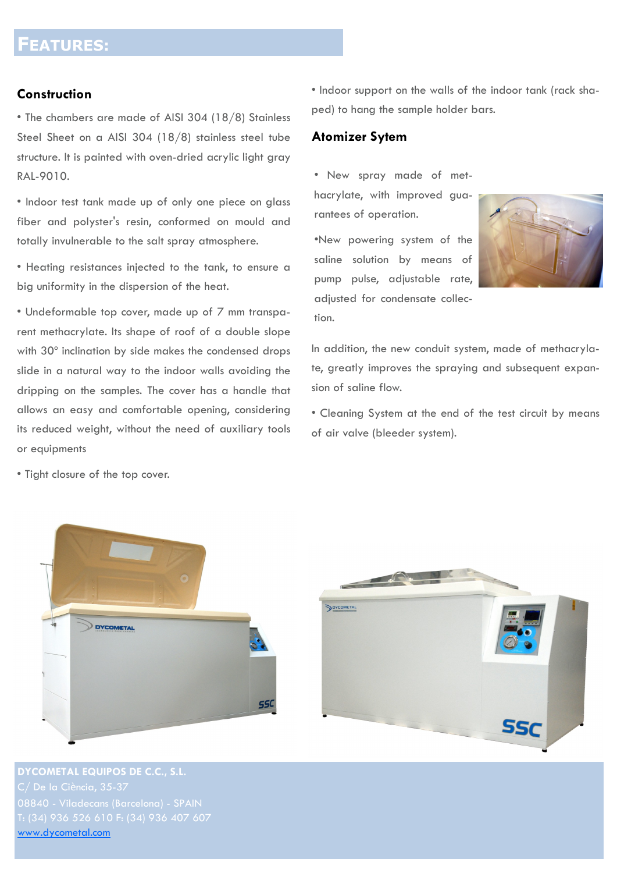#### **Construction**

• The chambers are made of AISI 304 (18/8) Stainless Steel Sheet on a AISI 304 (18/8) stainless steel tube structure. It is painted with oven-dried acrylic light gray RAL-9010.

• Indoor test tank made up of only one piece on glass fiber and polyster's resin, conformed on mould and totally invulnerable to the salt spray atmosphere.

• Heating resistances injected to the tank, to ensure a big uniformity in the dispersion of the heat.

• Undeformable top cover, made up of 7 mm transparent methacrylate. Its shape of roof of a double slope with 30º inclination by side makes the condensed drops slide in a natural way to the indoor walls avoiding the dripping on the samples. The cover has a handle that allows an easy and comfortable opening, considering its reduced weight, without the need of auxiliary tools or equipments

• Tight closure of the top cover.

• Indoor support on the walls of the indoor tank (rack shaped) to hang the sample holder bars.

#### **Atomizer Sytem**

tion.

• New spray made of methacrylate, with improved guarantees of operation.

•New powering system of the saline solution by means of pump pulse, adjustable rate, adjusted for condensate collec-

In addition, the new conduit system, made of methacrylate, greatly improves the spraying and subsequent expansion of saline flow.

• Cleaning System at the end of the test circuit by means of air valve (bleeder system).





**DYCOMETAL EQUIPOS DE C.C., S.L.** [www.dycometal.com](http://www.dycometal.com/)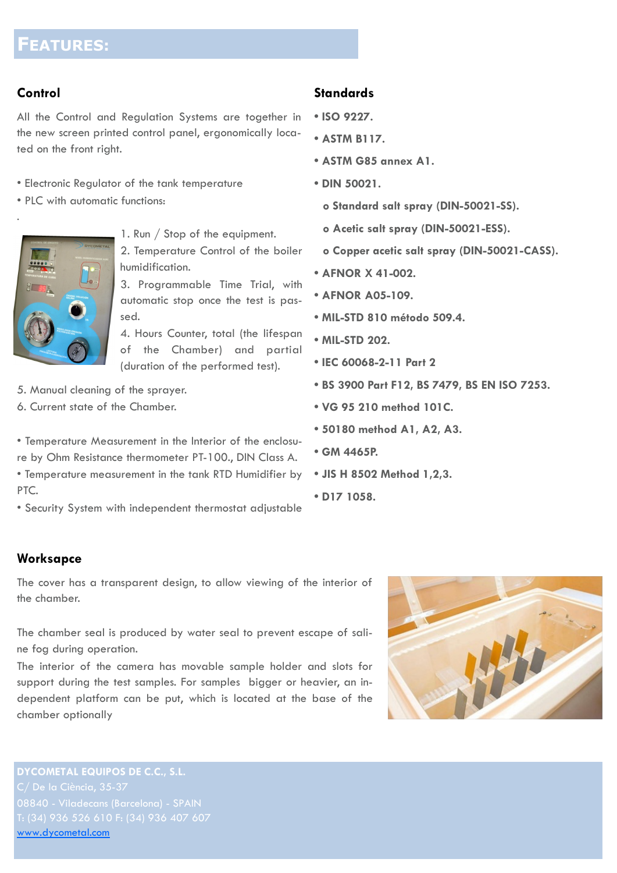### **Control**

.

All the Control and Regulation Systems are together in the new screen printed control panel, ergonomically located on the front right.

- Electronic Regulator of the tank temperature
- PLC with automatic functions:



1. Run / Stop of the equipment.

2. Temperature Control of the boiler humidification.

3. Programmable Time Trial, with automatic stop once the test is passed.

4. Hours Counter, total (the lifespan of the Chamber) and partial (duration of the performed test).

5. Manual cleaning of the sprayer.

6. Current state of the Chamber.

• Temperature Measurement in the Interior of the enclosure by Ohm Resistance thermometer PT-100., DIN Class A. • Temperature measurement in the tank RTD Humidifier by PTC.

• Security System with independent thermostat adjustable

### **Standards**

- **ISO 9227.**
- **ASTM B117.**
- **ASTM G85 annex A1.**
- **DIN 50021.**
	- **o Standard salt spray (DIN-50021-SS).**
	- **o Acetic salt spray (DIN-50021-ESS).**
	- **o Copper acetic salt spray (DIN-50021-CASS).**
- **AFNOR X 41-002.**
- **AFNOR A05-109.**
- **MIL-STD 810 método 509.4.**
- **MIL-STD 202.**
- **IEC 60068-2-11 Part 2**
- **BS 3900 Part F12, BS 7479, BS EN ISO 7253.**
- **VG 95 210 method 101C.**
- **50180 method A1, A2, A3.**
- **GM 4465P.**
- **JIS H 8502 Method 1,2,3.**
- **D17 1058.**

### **Worksapce**

The cover has a transparent design, to allow viewing of the interior of the chamber.

The chamber seal is produced by water seal to prevent escape of saline fog during operation.

The interior of the camera has movable sample holder and slots for support during the test samples. For samples bigger or heavier, an independent platform can be put, which is located at the base of the chamber optionally



**DYCOMETAL EQUIPOS DE C.C., S.L.** [www.dycometal.com](http://www.dycometal.com/)